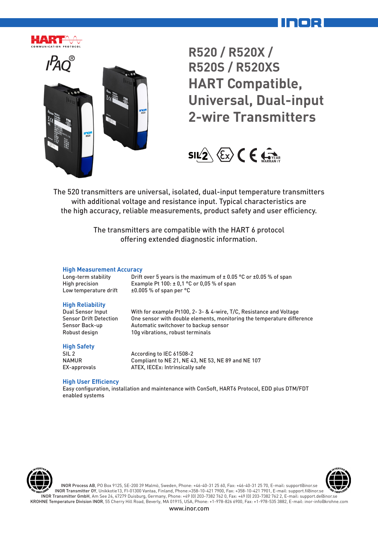



**R520 / R520X / R520S / R520XS HART Compatible, Universal, Dual-input 2-wire Transmitters**



The 520 transmitters are universal, isolated, dual-input temperature transmitters with additional voltage and resistance input. Typical characteristics are the high accuracy, reliable measurements, product safety and user efficiency.

> The transmitters are compatible with the HART 6 protocol offering extended diagnostic information.

#### **High Measurement Accuracy**

| Long-term stability   | Drift over 5 years is the maximum of $\pm$ 0.05 °C or $\pm$ 0.05 % of span |
|-----------------------|----------------------------------------------------------------------------|
| High precision        | Example Pt $100: \pm 0.1$ °C or 0.05 % of span                             |
| Low temperature drift | $\pm 0.005$ % of span per °C                                               |

#### **High Reliability**

Dual Sensor Input With for example Pt100, 2- 3- & 4-wire, T/C, Resistance and Voltage Sensor Drift Detection One sensor with double elements, monitoring the temperature difference Sensor Back-up **Automatic switchover to backup sensor** Robust design 10g vibrations, robust terminals

#### **High Safety**

SIL 2 **According to IEC 61508-2**<br>NAMUR Compliant to NE 21 NE 4 Compliant to NE 21, NE 43, NE 53, NE 89 and NE 107 EX-approvals ATEX, IECEx: Intrinsically safe

#### **High User Efficiency**

Easy configuration, installation and maintenance with ConSoft, HART6 Protocol, EDD plus DTM/FDT enabled systems





INOR Process AB, PO Box 9125, SE-200 39 Malmö, Sweden, Phone: +46-40-31 25 60, Fax: +46-40-31 25 70, E-mail: support@inor.se INOR Transmitter OY, Unikkotie13, FI-01300 Vantaa, Finland, Phone:+358-10-421 7900, Fax: +358-10-421 7901, E-mail: support.fi@inor.se INOR Transmitter GmbH, Am See 24, 47279 Duisburg, Germany, Phone: +49 (0) 203-7382 762 0, Fax: +49 (0) 203-7382 762 2, E-mail: support.de@inor.se KROHNE Temperature Division INOR, 55 Cherry Hill Road, Beverly, MA 01915, USA, Phone: +1-978-826 6900, Fax: +1-978-535 3882, E-mail: inor-info@krohne.com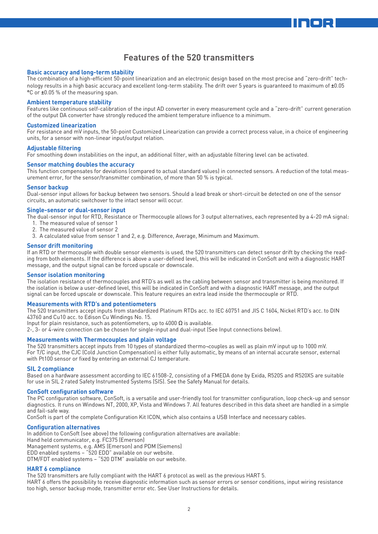### **Features of the 520 transmitters**

#### **Basic accuracy and long-term stability**

The combination of a high-efficient 50-point linearization and an electronic design based on the most precise and "zero-drift" technology results in a high basic accuracy and excellent long-term stability. The drift over 5 years is guaranteed to maximum of ±0.05 °C or ±0.05 % of the measuring span.

#### **Ambient temperature stability**

Features like continuous self-calibration of the input AD converter in every measurement cycle and a "zero-drift" current generation of the output DA converter have strongly reduced the ambient temperature influence to a minimum.

#### **Customized linearization**

For resistance and mV inputs, the 50-point Customized Linearization can provide a correct process value, in a choice of engineering units, for a sensor with non-linear input/output relation.

#### **Adjustable filtering**

For smoothing down instabilities on the input, an additional filter, with an adjustable filtering level can be activated.

#### **Sensor matching doubles the accuracy**

This function compensates for deviations (compared to actual standard values) in connected sensors. A reduction of the total measurement error, for the sensor/transmitter combination, of more than 50 % is typical.

#### **Sensor backup**

Dual-sensor input allows for backup between two sensors. Should a lead break or short-circuit be detected on one of the sensor circuits, an automatic switchover to the intact sensor will occur.

#### **Single-sensor or dual-sensor input**

The dual-sensor input for RTD, Resistance or Thermocouple allows for 3 output alternatives, each represented by a 4-20 mA signal:

- 1. The measured value of sensor 1
- 2. The measured value of sensor 2
- 3. A calculated value from sensor 1 and 2, e.g. Difference, Average, Minimum and Maximum.

#### **Sensor drift monitoring**

If an RTD or thermocouple with double sensor elements is used, the 520 transmitters can detect sensor drift by checking the reading from both elements. If the difference is above a user-defined level, this will be indicated in ConSoft and with a diagnostic HART message, and the output signal can be forced upscale or downscale.

#### **Sensor isolation monitoring**

The isolation resistance of thermocouples and RTD's as well as the cabling between sensor and transmitter is being monitored. If the isolation is below a user-defined level, this will be indicated in ConSoft and with a diagnostic HART message, and the output signal can be forced upscale or downscale. This feature requires an extra lead inside the thermocouple or RTD.

#### **Measurements with RTD's and potentiometers**

The 520 transmitters accept inputs from standardized Platinum RTDs acc. to IEC 60751 and JIS C 1604, Nickel RTD's acc. to DIN 43760 and Cu10 acc. to Edison Cu Windings No. 15.

Input for plain resistance, such as potentiometers, up to 4000  $\Omega$  is available.

2-, 3- or 4-wire connection can be chosen for single-input and dual-input (See Input connections below).

#### **Measurements with Thermocouples and plain voltage**

The 520 transmitters accept inputs from 10 types of standardized thermo¬couples as well as plain mV input up to 1000 mV. For T/C input, the CJC (Cold Junction Compensation) is either fully automatic, by means of an internal accurate sensor, external with Pt100 sensor or fixed by entering an external CJ temperature.

#### **SIL 2 compliance**

Based on a hardware assessment according to IEC 61508-2, consisting of a FMEDA done by Exida, R520S and R520XS are suitable for use in SIL 2 rated Safety Instrumented Systems (SIS). See the Safety Manual for details.

#### **ConSoft configuration software**

The PC configuration software, ConSoft, is a versatile and user-friendly tool for transmitter configuration, loop check-up and sensor diagnostics. It runs on Windows NT, 2000, XP, Vista and Windows 7. All features described in this data sheet are handled in a simple and fail-safe way.

ConSoft is part of the complete Configuration Kit ICON, which also contains a USB Interface and necessary cables.

#### **Configuration alternatives**

In addition to ConSoft (see above) the following configuration alternatives are available: Hand held communicator, e.g. FC375 (Emerson) Management systems, e.g. AMS (Emerson) and PDM (Siemens) EDD enabled systems – "520 EDD" available on our website. DTM/FDT enabled systems – "520 DTM" available on our website.

#### **HART 6 compliance**

The 520 transmitters are fully compliant with the HART 6 protocol as well as the previous HART 5.

HART 6 offers the possibility to receive diagnostic information such as sensor errors or sensor conditions, input wiring resistance too high, sensor backup mode, transmitter error etc. See User Instructions for details.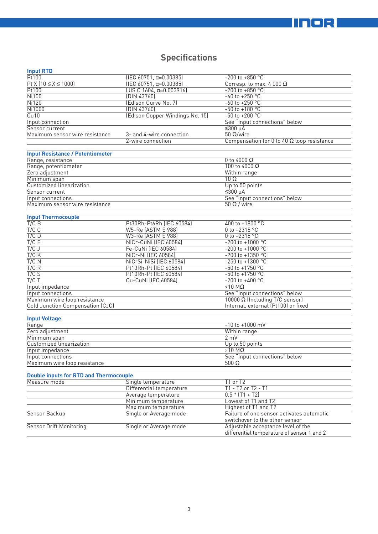# **IINOR**

# **Specifications**

| iliput KTD                                    |                                 |                                                                             |  |
|-----------------------------------------------|---------------------------------|-----------------------------------------------------------------------------|--|
| Pt100                                         | $[IEC 60751, \alpha=0.00385]$   | $-200$ to $+850$ °C                                                         |  |
| $Pt X [10 \le X \le 1000]$                    | $[IEC 60751, \alpha=0.00385]$   | Corresp. to max. 4 000 $\Omega$                                             |  |
| Pt100                                         | $[JIS C 1604, \alpha=0.003916]$ | $-200$ to $+850$ °C                                                         |  |
| <b>Ni100</b>                                  | (DIN 43760)                     | $-60$ to $+250$ °C                                                          |  |
| N <sub>i</sub> 120                            | (Edison Curve No. 7)            | $-60$ to $+250$ °C                                                          |  |
| <b>Ni1000</b>                                 | (DIN 43760)                     | $-50$ to $+180$ °C                                                          |  |
| Cu10                                          | (Edison Copper Windings No. 15) | $-50$ to $+200$ °C                                                          |  |
| Input connection                              |                                 | See "Input connections" below                                               |  |
| Sensor current                                |                                 | $≤300 \mu A$                                                                |  |
| Maximum sensor wire resistance                | 3- and 4-wire connection        | $50$ Ω/wire                                                                 |  |
|                                               | 2-wire connection               | Compensation for 0 to 40 $\Omega$ loop resistance                           |  |
| <b>Input Resistance / Potentiometer</b>       |                                 |                                                                             |  |
| Range, resistance                             |                                 | 0 to 4000 $\Omega$                                                          |  |
| Range, potentiometer                          |                                 | 100 to 4000 $\Omega$                                                        |  |
| Zero adjustment                               |                                 | Within range                                                                |  |
| Minimum span                                  |                                 | $10 \Omega$                                                                 |  |
| Customized linearization                      |                                 | Up to 50 points                                                             |  |
| Sensor current                                |                                 | $≤300 \mu A$                                                                |  |
| Input connections                             |                                 | See "input connections" below                                               |  |
| Maximum sensor wire resistance                |                                 | $50 \Omega /$ wire                                                          |  |
| <b>Input Thermocouple</b>                     |                                 |                                                                             |  |
| T/CB                                          | Pt30Rh-Pt6Rh (IEC 60584)        | 400 to +1800 °C                                                             |  |
| $T/C$ $C$                                     | W5-Re (ASTM E 988)              | 0 to +2315 $^{\circ}$ C                                                     |  |
| $T/C$ D                                       | W3-Re (ASTM E 988)              | 0 to +2315 °C                                                               |  |
| T/C E                                         | NiCr-CuNi (IEC 60584)           | $-200$ to $+1000$ °C                                                        |  |
| T/CJ                                          | Fe-CuNi (IEC 60584)             | $-200$ to $+1000$ °C                                                        |  |
| $T/C$ K                                       | NiCr-Ni (IEC 60584)             | $-200$ to $+1350$ °C                                                        |  |
| $T/C$ N                                       | NiCrSi-NiSi (IEC 60584)         | $-250$ to $+1300$ °C                                                        |  |
| T/C R                                         | Pt13Rh-Pt (IEC 60584)           | $-50 \text{ to } +1750 \text{ °C}$                                          |  |
| T/CS                                          | Pt10Rh-Pt (IEC 60584)           | $-50$ to $+1750$ °C                                                         |  |
| T/CT                                          | Cu-CuNi (IEC 60584)             | $-200$ to $+400$ °C                                                         |  |
| Input impedance                               |                                 | $>10$ MQ                                                                    |  |
| Input connections                             |                                 | See "Input connections" below                                               |  |
| Maximum wire loop resistance                  |                                 | 10000 Ω (Including T/C sensor)                                              |  |
| Cold Junction Compensation (CJC)              |                                 | Internal, external (Pt100) or fixed                                         |  |
| <b>Input Voltage</b>                          |                                 |                                                                             |  |
| Range                                         |                                 | $-10$ to $+1000$ mV                                                         |  |
| Zero adjustment                               |                                 | Within range                                                                |  |
| Minimum span                                  |                                 | 2 mV                                                                        |  |
| Customized linearization                      |                                 | Up to 50 points                                                             |  |
| Input impedance                               |                                 | $>10$ MQ                                                                    |  |
| Input connections                             |                                 | See "Input connections" below                                               |  |
| Maximum wire loop resistance                  |                                 | 500 $\Omega$                                                                |  |
| <b>Double inputs for RTD and Thermocouple</b> |                                 |                                                                             |  |
| Measure mode                                  | Single temperature              | T1 or T2                                                                    |  |
|                                               | Differential temperature        | T1 - T2 or T2 - T1                                                          |  |
|                                               | Average temperature             | $0.5 * (T1 + T2)$                                                           |  |
|                                               | Minimum temperature             | Lowest of T1 and T2                                                         |  |
|                                               | Maximum temperature             | Highest of T1 and T2                                                        |  |
| Sensor Backup                                 | Single or Average mode          | Failure of one sensor activates automatic<br>switchover to the other sensor |  |
| <b>Sensor Drift Monitoring</b>                | Single or Average mode          | Adjustable acceptance level of the                                          |  |
|                                               |                                 | differential temperature of sensor 1 and 2                                  |  |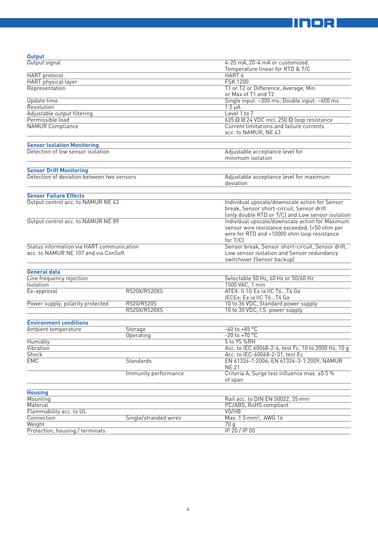

| <b>Output</b>                              |                       |                                                          |  |
|--------------------------------------------|-----------------------|----------------------------------------------------------|--|
| Output signal                              |                       | 4-20 mA, 20-4 mA or customized.                          |  |
|                                            |                       | Temperature linear for RTD & T/C                         |  |
| <b>HART</b> protocol                       |                       | HART 6                                                   |  |
| <b>HART</b> physical layer                 |                       | <b>FSK 1200</b>                                          |  |
| Representation                             |                       | T1 or T2 or Difference, Average, Min                     |  |
|                                            |                       | or Max of T1 and T2                                      |  |
| Update time                                |                       | Single input: ~300 ms; Double input: ~600 ms             |  |
| Resolution                                 |                       | $1.5 \mu A$                                              |  |
| Adjustable output filtering                |                       | Level 1 to 7                                             |  |
| Permissible load                           |                       | $635 \Omega$ @ 24 VDC incl. 250 $\Omega$ loop resistance |  |
| <b>NAMUR Compliance</b>                    |                       | Current limitations and failure currents                 |  |
|                                            |                       | acc. to NAMUR, NE 43                                     |  |
| <b>Sensor Isolation Monitoring</b>         |                       |                                                          |  |
| Detection of low sensor isolation          |                       | Adjustable acceptance level for                          |  |
|                                            |                       | minimum isolation                                        |  |
|                                            |                       |                                                          |  |
| <b>Sensor Drift Monitoring</b>             |                       |                                                          |  |
| Detection of deviation between two sensors |                       | Adjustable acceptance level for maximum                  |  |
|                                            |                       | deviation                                                |  |
|                                            |                       |                                                          |  |
| <b>Sensor Failure Effects</b>              |                       |                                                          |  |
| Output control acc. to NAMUR NE 43         |                       | Individual upscale/downscale action for Sensor           |  |
|                                            |                       | break, Sensor short-circuit, Sensor drift                |  |
|                                            |                       | (only double RTD or T/C) and Low sensor isolation        |  |
| Output control acc. to NAMUR NE 89         |                       | Individual upscale/downscale action for Maximum          |  |
|                                            |                       | sensor wire resistance exceeded, (>50 ohm per            |  |
|                                            |                       | wire for RTD and >10000 ohm loop resistance              |  |
|                                            |                       | for $T/C$                                                |  |
| Status information via HART communication  |                       |                                                          |  |
|                                            |                       | Sensor break, Sensor short-circuit, Sensor drift,        |  |
| acc. to NAMUR NE 107 and via ConSoft       |                       | Low sensor isolation and Sensor redundancy               |  |
|                                            |                       | switchover (Sensor backup)                               |  |
|                                            |                       |                                                          |  |
| <b>General data</b>                        |                       |                                                          |  |
| Line frequency rejection                   |                       | Selectable 50 Hz, 60 Hz or 50/60 Hz                      |  |
| Isolation                                  |                       | 1500 VAC, 1 min                                          |  |
| Ex-approval                                | R520X/R520XS          | ATEX: II 1G Ex ia IIC T6T4 Ga                            |  |
|                                            |                       | IECEx: Ex ia IIC T6T4 Ga                                 |  |
| Power supply, polarity protected           | R520/R520S            | 10 to 36 VDC, Standard power supply                      |  |
|                                            | R520X/R520XS          | 10 to 30 VDC, I.S. power supply                          |  |
|                                            |                       |                                                          |  |
| <b>Environment conditions</b>              |                       |                                                          |  |
| Ambient temperature                        | Storage               | $-40$ to $+85$ °C                                        |  |
|                                            | Operating             | $-20$ to $+70$ °C                                        |  |
| <b>Humidity</b>                            |                       | 5 to 95 %RH                                              |  |
| Vibration                                  |                       | Acc. to IEC 60068-2-6, test Fc, 10 to 2000 Hz, 10 g      |  |
| <b>Shock</b>                               |                       | Acc. to IEC-60068-2-31, test Ec                          |  |
| <b>EMC</b>                                 | Standards             | EN 61326-1:2006; EN 61326-3-1:2009, NAMUR                |  |
|                                            |                       | <b>NE 21</b>                                             |  |
|                                            | Immunity performance  | Criteria A, Surge test influence max. ±0.5 %             |  |
|                                            |                       | of span                                                  |  |
| <b>Housing</b>                             |                       |                                                          |  |
| Mounting                                   |                       | Rail acc. to DIN EN 50022, 35 mm                         |  |
| Material                                   |                       | PC/ABS, RoHS compliant                                   |  |
| Flammability acc. to UL                    |                       | VO/HB                                                    |  |
| Connection                                 | Single/stranded wires | Max. 1.5 mm <sup>2</sup> , AWG 16                        |  |
| Weight                                     |                       | 70q                                                      |  |
| Protection, housing / terminals            |                       | IP 20 / IP 00                                            |  |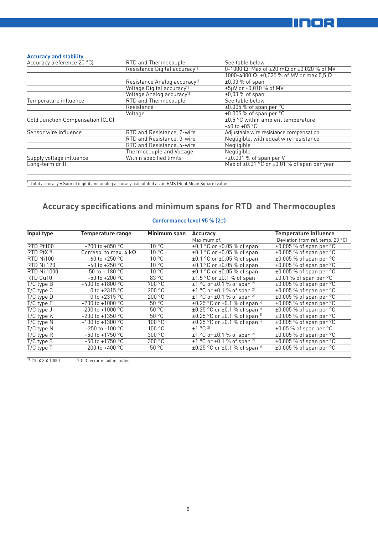

### **Accuracy and stability**

| Accuracy (reference 20 °C)       | RTD and Thermocouple                      | See table below                                       |
|----------------------------------|-------------------------------------------|-------------------------------------------------------|
|                                  | Resistance Digital accuracy <sup>1)</sup> | 0-1000 Ω: Max of $\pm 20$ mΩ or $\pm 0.020$ % of MV   |
|                                  |                                           | 1000-4000 Ω: ±0,025 % of MV or max 0,5 Ω              |
|                                  | Resistance Analog accuracy <sup>1)</sup>  | $\pm 0.03$ % of span                                  |
|                                  | Voltage Digital accuracy <sup>1)</sup>    | $±5\mu$ V or $±0,010$ % of MV                         |
|                                  | Voltage Analog accuracy <sup>1)</sup>     | $\pm 0.03$ % of span                                  |
| Temperature influence            | RTD and Thermocouple                      | See table below                                       |
|                                  | Resistance                                | $\pm 0.005$ % of span per °C                          |
|                                  | Voltage                                   | $\pm 0.005$ % of span per $^{\circ}$ C                |
| Cold Junction Compensation (CJC) |                                           | ±0.5 °C within ambient temperature                    |
|                                  |                                           | $-40$ to $+85$ °C                                     |
| Sensor wire influence            | RTD and Resistance, 2-wire                | Adjustable wire resistance compensation               |
|                                  | RTD and Resistance, 3-wire                | Negligible, with equal wire resistance                |
|                                  | RTD and Resistance, 4-wire                | Negligible                                            |
|                                  | Thermocouple and Voltage                  | Negligible                                            |
| Supply voltage influence         | Within specified limits                   | $\lt\pm0.001$ % of span per V                         |
| Long-term drift                  |                                           | Max of $\pm 0.01$ °C or $\pm 0.01$ % of span per year |
|                                  |                                           |                                                       |

 $\overline{1}$  Total accuracy = Sum of digital and analog accuracy, calculated as an RMS (Root Mean Square) value

# **Accuracy specifications and minimum spans for RTD and Thermocouples**

### **Conformance level 95 % (2**σ**)**

| Input type            | <b>Temperature range</b>     | Minimum span   | Accuracy                                           | <b>Temperature Influence</b>          |
|-----------------------|------------------------------|----------------|----------------------------------------------------|---------------------------------------|
|                       |                              |                | Maximum of:                                        | (Deviation from ref. temp. 20 °C)     |
| RTD Pt100             | $-200$ to $+850$ °C          | $10^{\circ}$ C | $\pm 0.1$ °C or $\pm 0.05$ % of span               | $\pm 0.005$ % of span per °C          |
| RTD PtX <sup>11</sup> | Corresp. to max. 4 $k\Omega$ | $10^{\circ}$ C | $\pm 0.1$ °C or $\pm 0.05$ % of span               | $±0.005$ % of span per °C             |
| RTD Ni100             | $-60$ to $+250$ °C           | $10^{\circ}$ C | $\pm 0.1$ °C or $\pm 0.05$ % of span               | $\pm 0.005$ % of span per $\degree$ C |
| <b>RTD Ni 120</b>     | $-60$ to $+250$ °C           | $10^{\circ}$ C | $\pm 0.1$ °C or $\pm 0.05$ % of span               | $\pm 0.005$ % of span per $\degree$ C |
| <b>RTD Ni 1000</b>    | $-50$ to $+180$ °C           | $10^{\circ}$ C | $\pm 0.1$ °C or $\pm 0.05$ % of span               | $±0.005$ % of span per °C             |
| RTD Cu10              | $-50$ to $+200$ °C           | 83 °C          | $\pm 1.5$ °C or $\pm 0.1$ % of span                | $\pm 0.01$ % of span per °C           |
| $T/C$ type $B$        | +400 to +1800 $^{\circ}$ C   | 700 °C         | $\pm$ 1 °C or $\pm$ 0.1 % of span <sup>2)</sup>    | $\pm 0.005$ % of span per °C          |
| $T/C$ type $C$        | 0 to $+2315$ °C              | 200 °C         | $\pm$ 1 °C or $\pm$ 0.1 % of span <sup>2)</sup>    | $±0.005$ % of span per $°C$           |
| $T/C$ type $D$        | 0 to $+2315$ °C              | 200 °C         | $\pm 1$ °C or $\pm 0.1$ % of span <sup>2)</sup>    | $±0.005$ % of span per °C             |
| $T/C$ type $E$        | $-200$ to $+1000$ °C         | 50 °C          | $\pm 0.25$ °C or $\pm 0.1$ % of span <sup>2)</sup> | $\pm 0.005$ % of span per $\degree$ C |
| $T/C$ type $J$        | $-200$ to $+1000$ °C         | 50 °C          | $\pm 0.25$ °C or $\pm 0.1$ % of span <sup>2)</sup> | $\pm 0.005$ % of span per $\degree$ C |
| $T/C$ type $K$        | $-200$ to $+1350$ °C         | 50 °C          | $\pm 0.25$ °C or $\pm 0.1$ % of span <sup>2)</sup> | $\pm 0.005$ % of span per $\degree$ C |
| $T/C$ type $N$        | $-100$ to $+1300$ °C         | 100 °C         | $\pm 0.25$ °C or $\pm 0.1$ % of span <sup>2)</sup> | $\pm 0.005$ % of span per $\degree$ C |
| $T/C$ type $N$        | $-250$ to $-100$ °C          | 100 °C         | $\pm$ 1 °C <sup>2]</sup>                           | $\pm 0.05$ % of span per $\degree$ C  |
| $T/C$ type $R$        | $-50$ to $+1750$ °C          | 300 °C         | $\pm$ 1 °C or $\pm$ 0.1 % of span <sup>2)</sup>    | $±0.005$ % of span per °C             |
| $T/C$ type S          | $-50$ to $+1750$ °C          | 300 °C         | $\pm 1$ °C or $\pm 0.1$ % of span <sup>2)</sup>    | $\pm 0.005$ % of span per $\degree$ C |
| $T/C$ type $T$        | $-200$ to $+400$ °C          | 50 °C          | $\pm 0.25$ °C or $\pm 0.1$ % of span <sup>2)</sup> | $\pm 0.005$ % of span per $\degree$ C |
|                       |                              |                |                                                    |                                       |

1)  $(10 \le X \le 1000)$  2) CJC error is not included